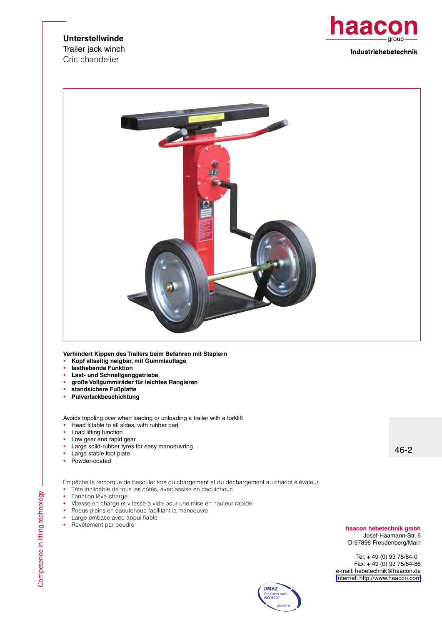## **Unterstellwinde**

Trailer jack winch Cric chandelier





**Verhindert Kippen des Trailers beim Befahren mit Staplern** 

- y **Kopf allseitig neigbar, mit Gummiauflage**
- lasthebende Funktion
- **Last- und Schnellganggetriebe**
- y **große Vollgummiräder für leichtes Rangieren**
- y **standsichere Fußplatte**
- y **Pulverlackbeschichtung**

Avoids toppling over when loading or unloading a trailer with a forklift

- Head tiltable to all sides, with rubber pad
- Load lifting function
- Low gear and rapid gear
- Large solid-rubber tyres for easy manoeuvring
- Large stable foot plate<br>• Powder-coated
- Powder-coated

Empêche la remorque de basculer lors du chargement et du déchargement au chariot élévateur

- Tête inclinable de tous les côtés, avec assise en caoutchouc
- Fonction lève-charge
- Vitesse en charge et vitesse à vide pour une mise en hauteur rapide
- Pneus pleins en caoutchouc facilitant la manoeuvre
- Large embase avec appui fiable<br>• Revêtement par poudre
- Revêtement par poudre

46-2

## **haacon hebetechnik gmbh** Josef-Haamann-Str. 6

D-97896 Freudenberg/Main

Tel: + 49 (0) 93 75/84-0 Fax: + 49 (0) 93 75/84-86 e-mail: hebetechnik@haacon.de [Internet: http://www.haacon.com](http://www.haacon.com)